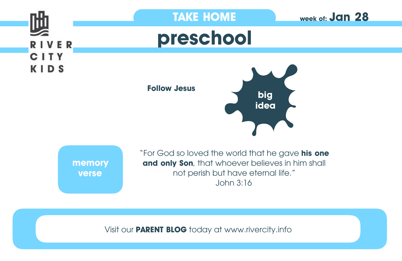

Visit our **PARENT BLOG** today at www.rivercity.info